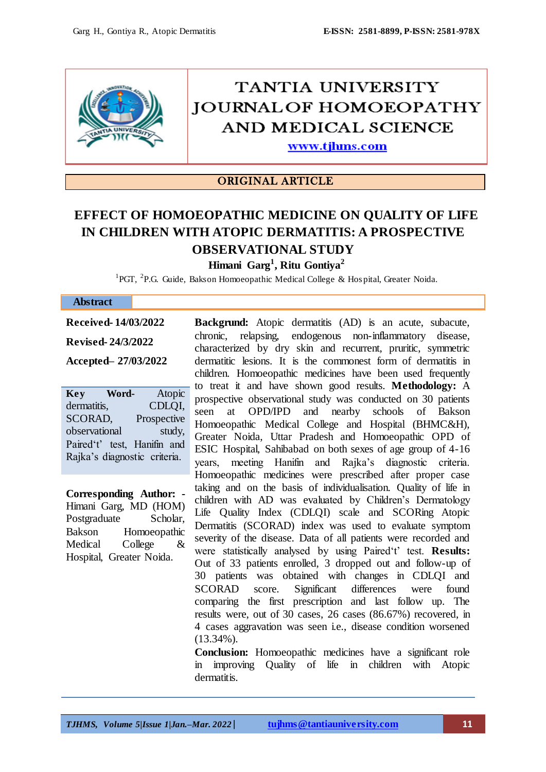

# TANTIA UNIVERSITY **JOURNALOF HOMOEOPATHY** AND MEDICAL SCIENCE

www.tjhms.com

## ORIGINAL ARTICLE

# **EFFECT OF HOMOEOPATHIC MEDICINE ON QUALITY OF LIFE IN CHILDREN WITH ATOPIC DERMATITIS: A PROSPECTIVE OBSERVATIONAL STUDY**

**Himani Garg<sup>1</sup> , Ritu Gontiya<sup>2</sup>**

<sup>1</sup>PGT, <sup>2</sup>P.G. Guide, Bakson Homoeopathic Medical College & Hospital, Greater Noida.

#### **Abstract**

**Received- 14/03/2022 Revised- 24/3/2022** 

**Accepted– 27/03/2022**

**Key Word-** Atopic dermatitis, CDLQI, SCORAD, Prospective observational study, Paired't' test, Hanifin and Rajka"s diagnostic criteria.

**Corresponding Author: -** Himani Garg, MD (HOM) Postgraduate Scholar, Bakson Homoeopathic Medical College & Hospital, Greater Noida.

**Backgrund:** Atopic dermatitis (AD) is an acute, subacute, chronic, relapsing, endogenous non-inflammatory disease, characterized by dry skin and recurrent, pruritic, symmetric dermatitic lesions. It is the commonest form of dermatitis in children. Homoeopathic medicines have been used frequently to treat it and have shown good results. **Methodology:** A prospective observational study was conducted on 30 patients seen at OPD/IPD and nearby schools of Bakson Homoeopathic Medical College and Hospital (BHMC&H), Greater Noida, Uttar Pradesh and Homoeopathic OPD of ESIC Hospital, Sahibabad on both sexes of age group of 4-16 years, meeting Hanifin and Rajka"s diagnostic criteria. Homoeopathic medicines were prescribed after proper case taking and on the basis of individualisation. Quality of life in children with AD was evaluated by Children"s Dermatology Life Quality Index (CDLQI) scale and SCORing Atopic Dermatitis (SCORAD) index was used to evaluate symptom severity of the disease. Data of all patients were recorded and were statistically analysed by using Paired"t" test. **Results:** Out of 33 patients enrolled, 3 dropped out and follow-up of 30 patients was obtained with changes in CDLQI and SCORAD score. Significant differences were found comparing the first prescription and last follow up. The results were, out of 30 cases, 26 cases (86.67%) recovered, in 4 cases aggravation was seen i.e., disease condition worsened (13.34%).

**Conclusion:** Homoeopathic medicines have a significant role in improving Quality of life in children with Atopic dermatitis.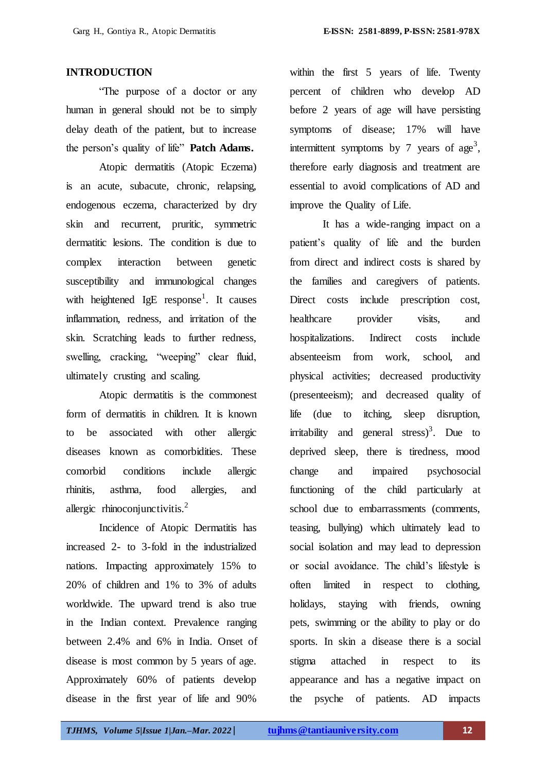#### **INTRODUCTION**

"The purpose of a doctor or any human in general should not be to simply delay death of the patient, but to increase the person"s quality of life" **Patch Adams.**

Atopic dermatitis (Atopic Eczema) is an acute, subacute, chronic, relapsing, endogenous eczema, characterized by dry skin and recurrent, pruritic, symmetric dermatitic lesions. The condition is due to complex interaction between genetic susceptibility and immunological changes with heightened  $IgE$  response<sup>1</sup>. It causes inflammation, redness, and irritation of the skin. Scratching leads to further redness, swelling, cracking, "weeping" clear fluid, ultimately crusting and scaling.

Atopic dermatitis is the commonest form of dermatitis in children. It is known to be associated with other allergic diseases known as comorbidities. These comorbid conditions include allergic rhinitis, asthma, food allergies, and allergic rhinoconjunctivitis. $^{2}$ 

Incidence of Atopic Dermatitis has increased 2- to 3-fold in the industrialized nations. Impacting approximately 15% to 20% of children and 1% to 3% of adults worldwide. The upward trend is also true in the Indian context. Prevalence ranging between 2.4% and 6% in India. Onset of disease is most common by 5 years of age. Approximately 60% of patients develop disease in the first year of life and 90%

within the first 5 years of life. Twenty percent of children who develop AD before 2 years of age will have persisting symptoms of disease; 17% will have intermittent symptoms by 7 years of  $age<sup>3</sup>$ , therefore early diagnosis and treatment are essential to avoid complications of AD and improve the Quality of Life.

It has a wide-ranging impact on a patient"s quality of life and the burden from direct and indirect costs is shared by the families and caregivers of patients. Direct costs include prescription cost, healthcare provider visits, and hospitalizations. Indirect costs include absenteeism from work, school, and physical activities; decreased productivity (presenteeism); and decreased quality of life (due to itching, sleep disruption, irritability and general stress)<sup>3</sup>. Due to deprived sleep, there is tiredness, mood change and impaired psychosocial functioning of the child particularly at school due to embarrassments (comments, teasing, bullying) which ultimately lead to social isolation and may lead to depression or social avoidance. The child"s lifestyle is often limited in respect to clothing, holidays, staying with friends, owning pets, swimming or the ability to play or do sports. In skin a disease there is a social stigma attached in respect to its appearance and has a negative impact on the psyche of patients. AD impacts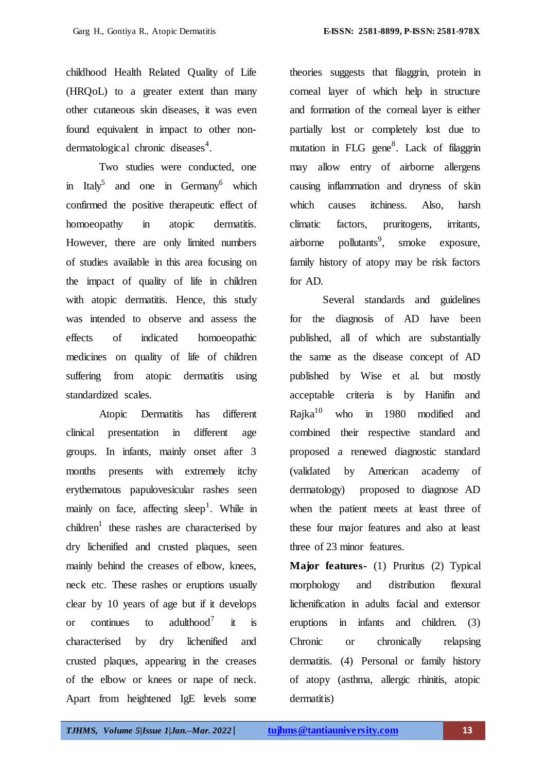childhood Health Related Quality of Life (HRQoL) to a greater extent than many other cutaneous skin diseases, it was even found equivalent in impact to other nondermatological chronic diseases<sup>4</sup>.

Two studies were conducted, one in Italy<sup>5</sup> and one in Germany<sup>6</sup> which confirmed the positive therapeutic effect of homoeopathy in atopic dermatitis. However, there are only limited numbers of studies available in this area focusing on the impact of quality of life in children with atopic dermatitis. Hence, this study was intended to observe and assess the effects of indicated homoeopathic medicines on quality of life of children suffering from atopic dermatitis using standardized scales.

Atopic Dermatitis has different clinical presentation in different age groups. In infants, mainly onset after 3 months presents with extremely itchy erythematous papulovesicular rashes seen mainly on face, affecting sleep<sup>1</sup>. While in children<sup>1</sup> these rashes are characterised by dry lichenified and crusted plaques, seen mainly behind the creases of elbow, knees, neck etc. These rashes or eruptions usually clear by 10 years of age but if it develops or continues to adulthood<sup>7</sup> it is characterised by dry lichenified and crusted plaques, appearing in the creases of the elbow or knees or nape of neck. Apart from heightened IgE levels some

theories suggests that filaggrin, protein in corneal layer of which help in structure and formation of the corneal layer is either partially lost or completely lost due to mutation in FLG gene<sup>8</sup>. Lack of filaggrin may allow entry of airborne allergens causing inflammation and dryness of skin which causes itchiness. Also, harsh climatic factors, pruritogens, irritants,  $airborne$  pollutants<sup>9</sup>, , smoke exposure, family history of atopy may be risk factors for AD.

Several standards and guidelines for the diagnosis of AD have been published, all of which are substantially the same as the disease concept of AD published by Wise et al. but mostly acceptable criteria is by Hanifin and Rajka $10$  who in 1980 modified and combined their respective standard and proposed a renewed diagnostic standard (validated by American academy of dermatology) proposed to diagnose AD when the patient meets at least three of these four major features and also at least three of 23 minor features.

**Major features-** (1) Pruritus (2) Typical morphology and distribution flexural lichenification in adults facial and extensor eruptions in infants and children. (3) Chronic or chronically relapsing dermatitis. (4) Personal or family history of atopy (asthma, allergic rhinitis, atopic dermatitis)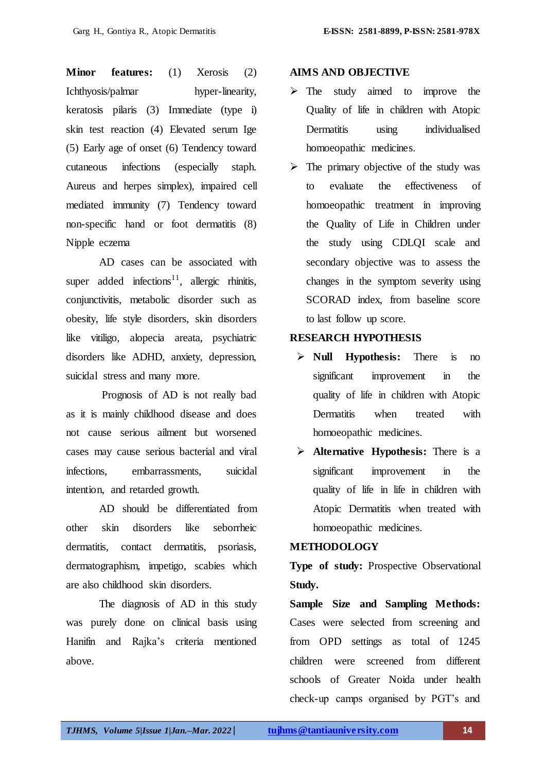**Minor features:** (1) Xerosis (2) Ichthyosis/palmar hyper-linearity, keratosis pilaris (3) Immediate (type i) skin test reaction (4) Elevated serum Ige (5) Early age of onset (6) Tendency toward cutaneous infections (especially staph. Aureus and herpes simplex), impaired cell mediated immunity (7) Tendency toward non-specific hand or foot dermatitis (8) Nipple eczema

AD cases can be associated with super added infections<sup>11</sup>, allergic rhinitis, conjunctivitis, metabolic disorder such as obesity, life style disorders, skin disorders like vitiligo, alopecia areata, psychiatric disorders like ADHD, anxiety, depression, suicidal stress and many more.

Prognosis of AD is not really bad as it is mainly childhood disease and does not cause serious ailment but worsened cases may cause serious bacterial and viral infections, embarrassments, suicidal intention, and retarded growth.

AD should be differentiated from other skin disorders like seborrheic dermatitis, contact dermatitis, psoriasis, dermatographism, impetigo, scabies which are also childhood skin disorders.

The diagnosis of AD in this study was purely done on clinical basis using Hanifin and Rajka"s criteria mentioned above.

#### **AIMS AND OBJECTIVE**

- $\triangleright$  The study aimed to improve the Quality of life in children with Atopic Dermatitis using individualised homoeopathic medicines.
- $\triangleright$  The primary objective of the study was to evaluate the effectiveness of homoeopathic treatment in improving the Quality of Life in Children under the study using CDLQI scale and secondary objective was to assess the changes in the symptom severity using SCORAD index, from baseline score to last follow up score.

#### **RESEARCH HYPOTHESIS**

- **Null Hypothesis:** There is no significant improvement in the quality of life in children with Atopic Dermatitis when treated with homoeopathic medicines.
- **Alternative Hypothesis:** There is a significant improvement in the quality of life in life in children with Atopic Dermatitis when treated with homoeopathic medicines.

#### **METHODOLOGY**

**Type of study:** Prospective Observational **Study.**

**Sample Size and Sampling Methods:** Cases were selected from screening and from OPD settings as total of 1245 children were screened from different schools of Greater Noida under health check-up camps organised by PGT"s and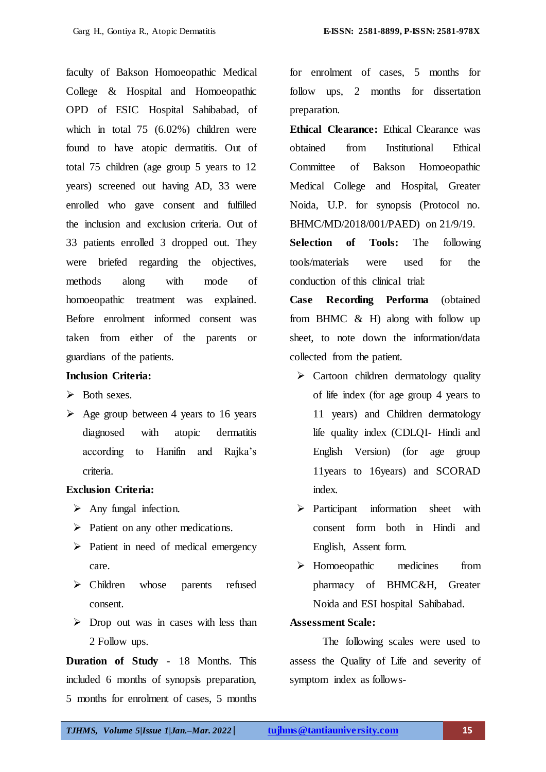faculty of Bakson Homoeopathic Medical College & Hospital and Homoeopathic OPD of ESIC Hospital Sahibabad, of which in total 75 (6.02%) children were found to have atopic dermatitis. Out of total 75 children (age group 5 years to 12 years) screened out having AD, 33 were enrolled who gave consent and fulfilled the inclusion and exclusion criteria. Out of 33 patients enrolled 3 dropped out. They were briefed regarding the objectives, methods along with mode of homoeopathic treatment was explained. Before enrolment informed consent was taken from either of the parents or guardians of the patients.

#### **Inclusion Criteria:**

- $\triangleright$  Both sexes.
- $\triangleright$  Age group between 4 years to 16 years diagnosed with atopic dermatitis according to Hanifin and Rajka"s criteria.

#### **Exclusion Criteria:**

- $\triangleright$  Any fungal infection.
- $\triangleright$  Patient on any other medications.
- $\triangleright$  Patient in need of medical emergency care.
- > Children whose parents refused consent.
- $\triangleright$  Drop out was in cases with less than 2 Follow ups.

**Duration of Study** - 18 Months. This included 6 months of synopsis preparation, 5 months for enrolment of cases, 5 months for enrolment of cases, 5 months for follow ups, 2 months for dissertation preparation.

**Ethical Clearance:** Ethical Clearance was obtained from Institutional Ethical Committee of Bakson Homoeopathic Medical College and Hospital, Greater Noida, U.P. for synopsis (Protocol no. BHMC/MD/2018/001/PAED) on 21/9/19.

**Selection of Tools:** The following tools/materials were used for the conduction of this clinical trial:

**Case Recording Performa** (obtained from BHMC & H) along with follow up sheet, to note down the information/data collected from the patient.

- $\triangleright$  Cartoon children dermatology quality of life index (for age group 4 years to 11 years) and Children dermatology life quality index (CDLQI- Hindi and English Version) (for age group 11years to 16years) and SCORAD index.
- $\triangleright$  Participant information sheet with consent form both in Hindi and English, Assent form.
- Homoeopathic medicines from pharmacy of BHMC&H, Greater Noida and ESI hospital Sahibabad.

#### **Assessment Scale:**

The following scales were used to assess the Quality of Life and severity of symptom index as follows-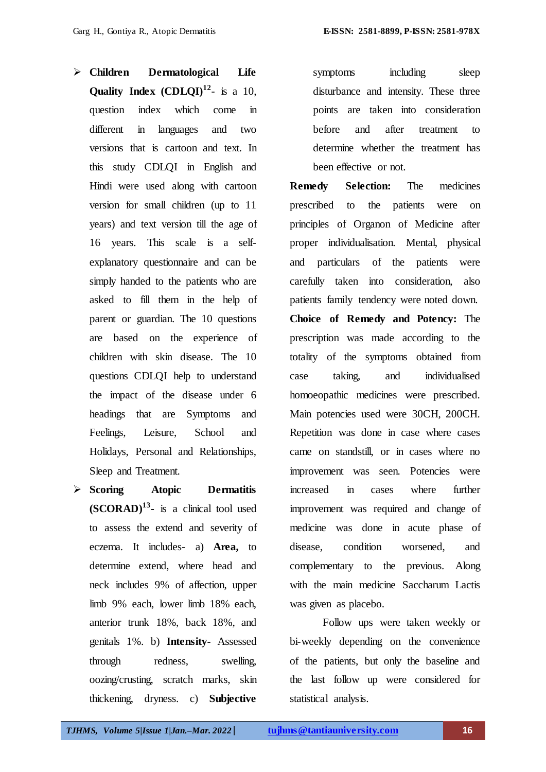- **Children Dermatological Life Quality Index**  $(CDLQI)^{12}$  is a 10, question index which come in different in languages and two versions that is cartoon and text. In this study CDLQI in English and Hindi were used along with cartoon version for small children (up to 11 years) and text version till the age of 16 years. This scale is a selfexplanatory questionnaire and can be simply handed to the patients who are asked to fill them in the help of parent or guardian. The 10 questions are based on the experience of children with skin disease. The 10 questions CDLQI help to understand the impact of the disease under 6 headings that are Symptoms and Feelings, Leisure, School and Holidays, Personal and Relationships, Sleep and Treatment.
- **Scoring Atopic Dermatitis (SCORAD)<sup>13</sup> -** is a clinical tool used to assess the extend and severity of eczema. It includes- a) **Area,** to determine extend, where head and neck includes 9% of affection, upper limb 9% each, lower limb 18% each, anterior trunk 18%, back 18%, and genitals 1%. b) **Intensity-** Assessed through redness, swelling, oozing/crusting, scratch marks, skin thickening, dryness. c) **Subjective**

symptoms including sleep disturbance and intensity. These three points are taken into consideration before and after treatment to determine whether the treatment has been effective or not.

**Remedy Selection:** The medicines prescribed to the patients were on principles of Organon of Medicine after proper individualisation. Mental, physical and particulars of the patients were carefully taken into consideration, also patients family tendency were noted down. **Choice of Remedy and Potency:** The prescription was made according to the totality of the symptoms obtained from case taking, and individualised homoeopathic medicines were prescribed. Main potencies used were 30CH, 200CH. Repetition was done in case where cases came on standstill, or in cases where no improvement was seen. Potencies were increased in cases where further improvement was required and change of medicine was done in acute phase of disease, condition worsened, and complementary to the previous. Along with the main medicine Saccharum Lactis was given as placebo.

Follow ups were taken weekly or bi-weekly depending on the convenience of the patients, but only the baseline and the last follow up were considered for statistical analysis.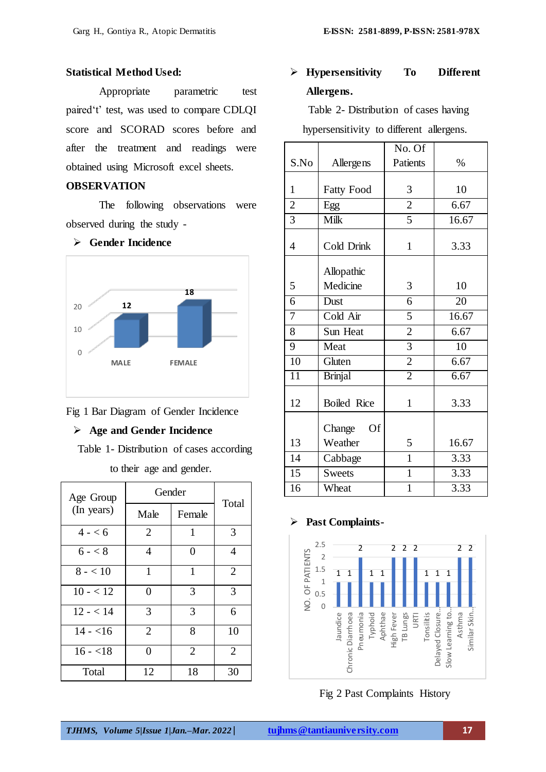#### **Statistical Method Used:**

Appropriate parametric test paired't' test, was used to compare CDLQI score and SCORAD scores before and after the treatment and readings were obtained using Microsoft excel sheets.

#### **OBSERVATION**

The following observations were observed during the study -

#### **Gender Incidence**



Fig 1 Bar Diagram of Gender Incidence

#### **Age and Gender Incidence**

Table 1- Distribution of cases according

to their age and gender.

| Age Group  | Gender         |                |                |
|------------|----------------|----------------|----------------|
| (In years) | Male           | Female         | Total          |
| $4 - 6$    | $\overline{2}$ | 1              | 3              |
| $6 - 8$    | $\overline{4}$ | 0              | $\overline{4}$ |
| $8 - 10$   | 1              | 1              | $\overline{2}$ |
| $10 - 12$  | 0              | 3              | 3              |
| $12 - 14$  | 3              | 3              | 6              |
| $14 - 16$  | $\overline{2}$ | 8              | 10             |
| $16 - 18$  | ∩              | $\overline{2}$ | 2              |
| Total      | 12             | 18             | 30             |

# **Hypersensitivity To Different Allergens.**

Table 2- Distribution of cases having hypersensitivity to different allergens.

|                 |                     | No. Of         |       |
|-----------------|---------------------|----------------|-------|
| S.No            | Allergens           | Patients       | $\%$  |
|                 |                     |                |       |
| $\mathbf{1}$    | <b>Fatty Food</b>   | 3              | 10    |
| $\overline{c}$  | Egg                 | $\overline{2}$ | 6.67  |
| 3               | Milk                | 5              | 16.67 |
| $\overline{4}$  | Cold Drink          | $\mathbf{1}$   | 3.33  |
|                 | Allopathic          |                |       |
| 5               | Medicine            | 3              | 10    |
| 6               | Dust                | 6              | 20    |
| 7               | Cold Air            | 5              | 16.67 |
| 8               | Sun Heat            | $\overline{2}$ | 6.67  |
| 9               | Meat                | 3              | 10    |
| 10              | Gluten              | $\overline{2}$ | 6.67  |
| $\overline{11}$ | <b>Brinjal</b>      | $\overline{2}$ | 6.67  |
| 12              | <b>Boiled Rice</b>  | $\mathbf{1}$   | 3.33  |
|                 | Change<br><b>Of</b> |                |       |
| 13              | Weather             | 5              | 16.67 |
| 14              | Cabbage             | $\mathbf{1}$   | 3.33  |
| 15              | <b>Sweets</b>       | $\mathbf{1}$   | 3.33  |
| 16              | Wheat               | $\mathbf 1$    | 3.33  |

#### **Past Complaints-**



Fig 2 Past Complaints History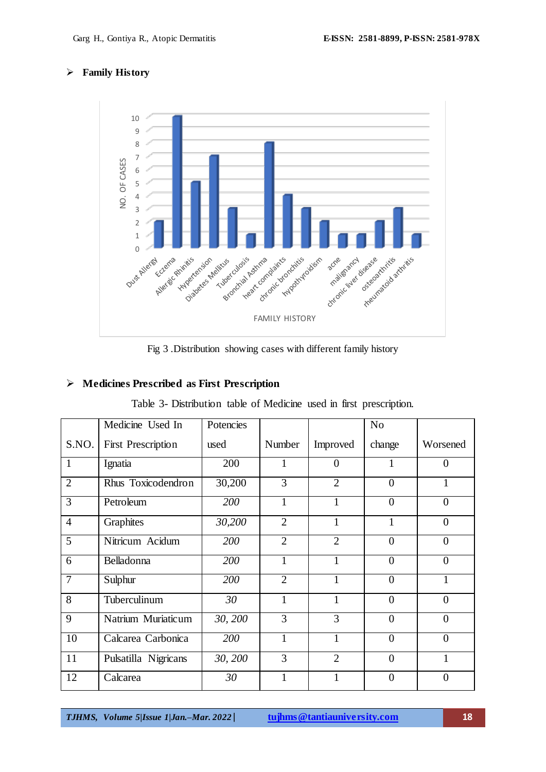#### **Family History**



Fig 3 .Distribution showing cases with different family history

#### **Medicines Prescribed as First Prescription**

| Table 3- Distribution table of Medicine used in first prescription. |  |  |  |  |  |
|---------------------------------------------------------------------|--|--|--|--|--|
|---------------------------------------------------------------------|--|--|--|--|--|

|                | Medicine Used In          | Potencies |                |                | No             |                |
|----------------|---------------------------|-----------|----------------|----------------|----------------|----------------|
| S.NO.          | <b>First Prescription</b> | used      | Number         | Improved       | change         | Worsened       |
| $\mathbf{1}$   | Ignatia                   | 200       | 1              | $\theta$       |                | $\overline{0}$ |
| $\overline{2}$ | Rhus Toxicodendron        | 30,200    | 3              | $\overline{2}$ | $\overline{0}$ | 1              |
| $\overline{3}$ | Petroleum                 | 200       | $\mathbf{1}$   | 1              | $\overline{0}$ | $\overline{0}$ |
| $\overline{4}$ | Graphites                 | 30,200    | $\overline{2}$ | 1              | 1              | $\overline{0}$ |
| 5              | Nitricum Acidum           | 200       | $\overline{2}$ | $\overline{2}$ | $\overline{0}$ | $\overline{0}$ |
| 6              | Belladonna                | 200       | $\mathbf{1}$   | 1              | $\overline{0}$ | $\overline{0}$ |
| $\overline{7}$ | Sulphur                   | 200       | $\overline{2}$ | $\mathbf{1}$   | $\overline{0}$ | $\mathbf{1}$   |
| 8              | Tuberculinum              | 30        | $\mathbf{1}$   | $\mathbf{1}$   | $\overline{0}$ | $\overline{0}$ |
| 9              | Natrium Muriaticum        | 30, 200   | 3              | 3              | $\overline{0}$ | $\overline{0}$ |
| 10             | Calcarea Carbonica        | 200       | $\mathbf{1}$   | 1              | $\overline{0}$ | $\overline{0}$ |
| 11             | Pulsatilla Nigricans      | 30, 200   | 3              | $\overline{2}$ | $\overline{0}$ | $\mathbf{1}$   |
| 12             | Calcarea                  | 30        | $\mathbf{1}$   | $\mathbf{1}$   | $\overline{0}$ | $\overline{0}$ |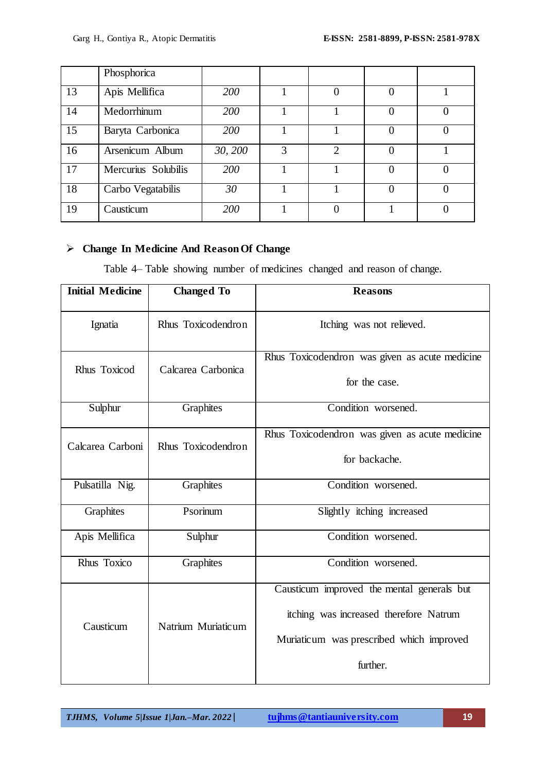|    | Phosphorica         |         |   |                |                |  |
|----|---------------------|---------|---|----------------|----------------|--|
| 13 | Apis Mellifica      | 200     |   |                |                |  |
| 14 | Medorrhinum         | 200     |   |                |                |  |
| 15 | Baryta Carbonica    | 200     |   |                | $\overline{0}$ |  |
| 16 | Arsenicum Album     | 30, 200 | 3 | $\overline{2}$ |                |  |
| 17 | Mercurius Solubilis | 200     |   |                | $\Omega$       |  |
| 18 | Carbo Vegatabilis   | 30      |   |                | $\theta$       |  |
| 19 | Causticum           | 200     |   |                |                |  |

# **Change In Medicine And Reason Of Change**

Table 4– Table showing number of medicines changed and reason of change.

| <b>Initial Medicine</b>                | <b>Changed To</b>  | <b>Reasons</b>                                                                                                                               |
|----------------------------------------|--------------------|----------------------------------------------------------------------------------------------------------------------------------------------|
| Ignatia                                | Rhus Toxicodendron | Itching was not relieved.                                                                                                                    |
| Rhus Toxicod                           | Calcarea Carbonica | Rhus Toxicodendron was given as acute medicine<br>for the case.                                                                              |
| Sulphur                                | Graphites          | Condition worsened.                                                                                                                          |
| Calcarea Carboni<br>Rhus Toxicodendron |                    | Rhus Toxicodendron was given as acute medicine<br>for backache.                                                                              |
| Pulsatilla Nig.                        | <b>Graphites</b>   | Condition worsened.                                                                                                                          |
| Graphites                              | Psorinum           | Slightly itching increased                                                                                                                   |
| Apis Mellifica                         | Sulphur            | Condition worsened.                                                                                                                          |
| Rhus Toxico                            | Graphites          | Condition worsened.                                                                                                                          |
| Causticum                              | Natrium Muriaticum | Causticum improved the mental generals but<br>itching was increased therefore Natrum<br>Muriaticum was prescribed which improved<br>further. |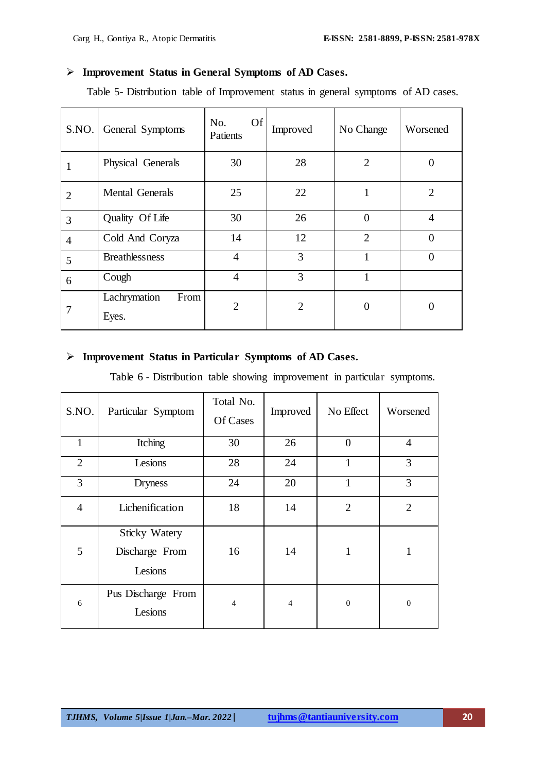#### **Improvement Status in General Symptoms of AD Cases.**

Table 5- Distribution table of Improvement status in general symptoms of AD cases.

| S.NO.          | General Symptoms              | <b>Of</b><br>No.<br>Patients | Improved       | No Change      | Worsened       |
|----------------|-------------------------------|------------------------------|----------------|----------------|----------------|
|                | Physical Generals             | 30                           | 28             | $\overline{2}$ | ( )            |
| $\overline{2}$ | <b>Mental Generals</b>        | 25                           | 22             |                | $\overline{2}$ |
| 3              | Quality Of Life               | 30                           | 26             | $\Omega$       | $\overline{4}$ |
| $\overline{4}$ | Cold And Coryza               | 14                           | 12             | $\overline{2}$ | $\theta$       |
| 5              | <b>Breathlessness</b>         | $\overline{4}$               | 3              |                | $\Omega$       |
| 6              | Cough                         | $\overline{4}$               | 3              |                |                |
| 7              | Lachrymation<br>From<br>Eyes. | $\overline{2}$               | $\overline{2}$ | $\Omega$       |                |

#### **Improvement Status in Particular Symptoms of AD Cases.**

Table 6 - Distribution table showing improvement in particular symptoms.

| S.NO.          | Particular Symptom                                | Total No.<br>Of Cases | Improved       | No Effect      | Worsened       |
|----------------|---------------------------------------------------|-----------------------|----------------|----------------|----------------|
| 1              | Itching                                           | 30                    | 26             | $\overline{0}$ | $\overline{4}$ |
| $\overline{2}$ | Lesions                                           | 28                    | 24             |                | 3              |
| 3              | <b>Dryness</b>                                    | 24                    | 20             | 1              | 3              |
| $\overline{4}$ | Lichenification                                   | 18                    | 14             | $\overline{2}$ | $\overline{2}$ |
| 5              | <b>Sticky Watery</b><br>Discharge From<br>Lesions | 16                    | 14             | $\mathbf{1}$   | 1              |
| 6              | Pus Discharge From<br>Lesions                     | $\overline{4}$        | $\overline{4}$ | $\theta$       | $\overline{0}$ |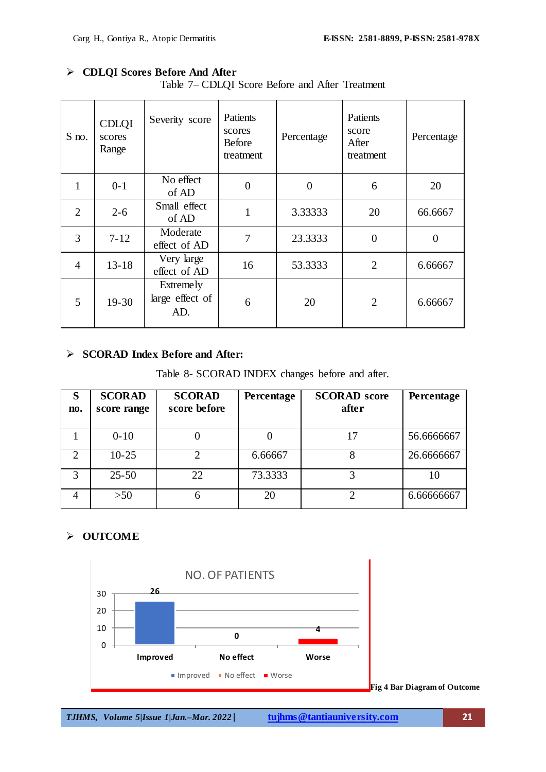# **CDLQI Scores Before And After**

| $S$ no.        | <b>CDLQI</b><br>scores<br>Range | Severity score                      | Patients<br>scores<br><b>Before</b><br>treatment | Percentage | Patients<br>score<br>After<br>treatment | Percentage |
|----------------|---------------------------------|-------------------------------------|--------------------------------------------------|------------|-----------------------------------------|------------|
| 1              | $0-1$                           | No effect<br>of AD                  | $\overline{0}$                                   | 0          | 6                                       | 20         |
| $\overline{2}$ | $2 - 6$                         | Small effect<br>of AD               | $\mathbf{1}$                                     | 3.33333    | 20                                      | 66.6667    |
| 3              | $7 - 12$                        | Moderate<br>effect of AD            | $\overline{7}$                                   | 23.3333    | $\theta$                                | $\Omega$   |
| $\overline{4}$ | $13 - 18$                       | Very large<br>effect of AD          | 16                                               | 53.3333    | $\overline{2}$                          | 6.66667    |
| 5              | $19-30$                         | Extremely<br>large effect of<br>AD. | 6                                                | 20         | $\overline{2}$                          | 6.66667    |

### **SCORAD Index Before and After:**

Table 8- SCORAD INDEX changes before and after.

| S<br>no.       | <b>SCORAD</b><br>score range | <b>SCORAD</b><br>score before | Percentage | <b>SCORAD</b> score<br>after | Percentage |
|----------------|------------------------------|-------------------------------|------------|------------------------------|------------|
|                | $0 - 10$                     |                               |            | 17                           | 56.6666667 |
| $\overline{2}$ | $10 - 25$                    |                               | 6.66667    |                              | 26.6666667 |
| 3              | $25 - 50$                    | 22.                           | 73.3333    |                              | 10         |
| 4              | >50                          |                               | 20         |                              | 6.66666667 |

## **OUTCOME**



**Fig 4 Bar Diagram of Outcome**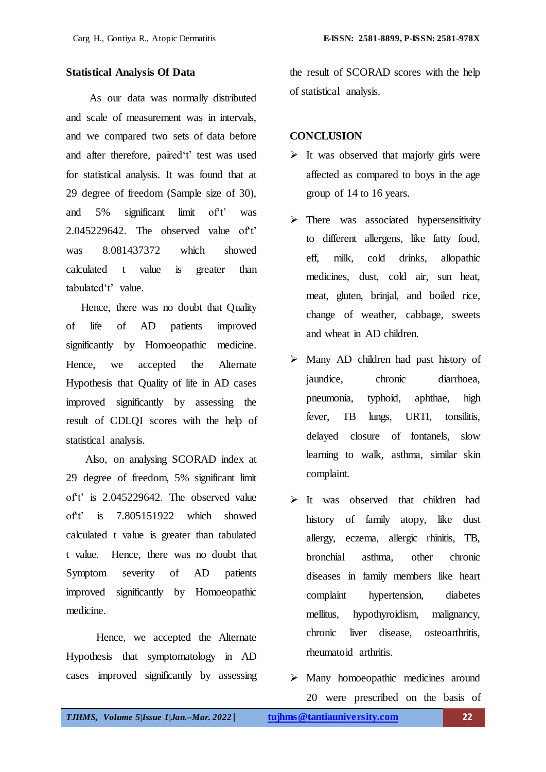#### **Statistical Analysis Of Data**

 As our data was normally distributed and scale of measurement was in intervals, and we compared two sets of data before and after therefore, paired't' test was used for statistical analysis. It was found that at 29 degree of freedom (Sample size of 30), and 5% significant limit of t' was  $2.045229642$ . The observed value of t' was 8.081437372 which showed calculated t value is greater than tabulated"t" value.

 Hence, there was no doubt that Quality of life of AD patients improved significantly by Homoeopathic medicine. Hence, we accepted the Alternate Hypothesis that Quality of life in AD cases improved significantly by assessing the result of CDLQI scores with the help of statistical analysis.

 Also, on analysing SCORAD index at 29 degree of freedom, 5% significant limit of t' is 2.045229642. The observed value of't' is 7.805151922 which showed calculated t value is greater than tabulated t value. Hence, there was no doubt that Symptom severity of AD patients improved significantly by Homoeopathic medicine.

 Hence, we accepted the Alternate Hypothesis that symptomatology in AD cases improved significantly by assessing the result of SCORAD scores with the help of statistical analysis.

#### **CONCLUSION**

- $\triangleright$  It was observed that majorly girls were affected as compared to boys in the age group of 14 to 16 years.
- $\triangleright$  There was associated hypersensitivity to different allergens, like fatty food, eff, milk, cold drinks, allopathic medicines, dust, cold air, sun heat, meat, gluten, brinjal, and boiled rice, change of weather, cabbage, sweets and wheat in AD children.
- $\triangleright$  Many AD children had past history of jaundice, chronic diarrhoea, pneumonia, typhoid, aphthae, high fever, TB lungs, URTI, tonsilitis, delayed closure of fontanels, slow learning to walk, asthma, similar skin complaint.
- It was observed that children had history of family atopy, like dust allergy, eczema, allergic rhinitis, TB, bronchial asthma, other chronic diseases in family members like heart complaint hypertension, diabetes mellitus, hypothyroidism, malignancy, chronic liver disease, osteoarthritis, rheumatoid arthritis.
- $\triangleright$  Many homoeopathic medicines around 20 were prescribed on the basis of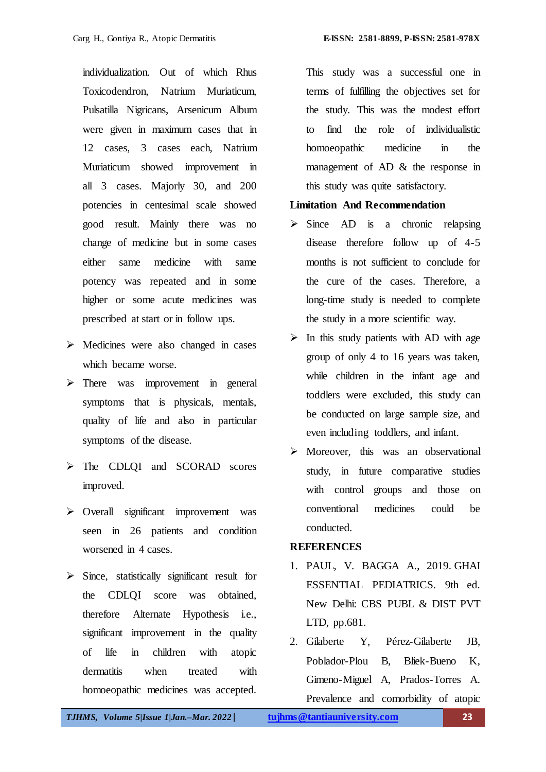individualization. Out of which Rhus Toxicodendron, Natrium Muriaticum, Pulsatilla Nigricans, Arsenicum Album were given in maximum cases that in 12 cases, 3 cases each, Natrium Muriaticum showed improvement in all 3 cases. Majorly 30, and 200 potencies in centesimal scale showed good result. Mainly there was no change of medicine but in some cases either same medicine with same potency was repeated and in some higher or some acute medicines was prescribed at start or in follow ups.

- $\triangleright$  Medicines were also changed in cases which became worse.
- $\triangleright$  There was improvement in general symptoms that is physicals, mentals, quality of life and also in particular symptoms of the disease.
- > The CDLQI and SCORAD scores improved.
- > Overall significant improvement was seen in 26 patients and condition worsened in 4 cases.
- $\triangleright$  Since, statistically significant result for the CDLQI score was obtained, therefore Alternate Hypothesis i.e., significant improvement in the quality of life in children with atopic dermatitis when treated with homoeopathic medicines was accepted.

This study was a successful one in terms of fulfilling the objectives set for the study. This was the modest effort to find the role of individualistic homoeopathic medicine in the management of AD & the response in this study was quite satisfactory.

#### **Limitation And Recommendation**

- $\triangleright$  Since AD is a chronic relapsing disease therefore follow up of 4-5 months is not sufficient to conclude for the cure of the cases. Therefore, a long-time study is needed to complete the study in a more scientific way.
- $\triangleright$  In this study patients with AD with age group of only 4 to 16 years was taken, while children in the infant age and toddlers were excluded, this study can be conducted on large sample size, and even including toddlers, and infant.
- $\triangleright$  Moreover, this was an observational study, in future comparative studies with control groups and those on conventional medicines could be conducted.

#### **REFERENCES**

- 1. PAUL, V. BAGGA A., 2019. GHAI ESSENTIAL PEDIATRICS. 9th ed. New Delhi: CBS PUBL & DIST PVT LTD, pp.681.
- 2. Gilaberte Y, Pérez-Gilaberte JB, Poblador-Plou B, Bliek-Bueno K, Gimeno-Miguel A, Prados-Torres A. Prevalence and comorbidity of atopic

*TJHMS, Volume 5|Issue 1|Jan.–Mar. 2022*| **tujhms@tantiauniversity.com 23**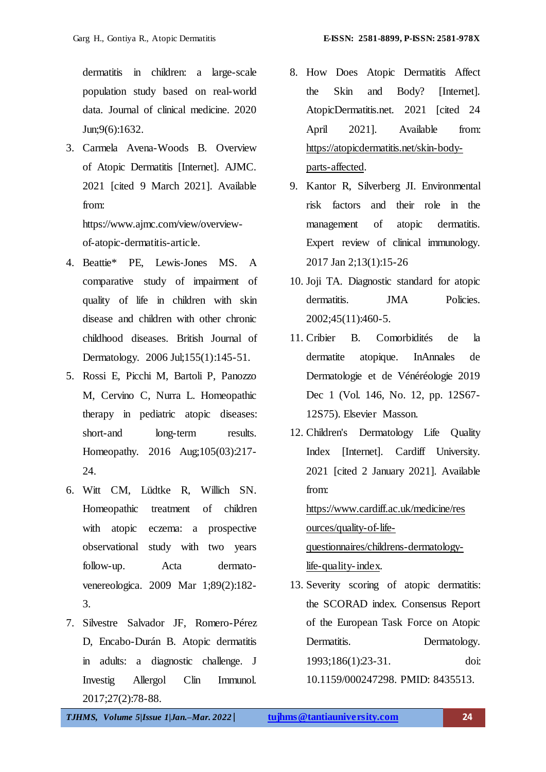dermatitis in children: a large-scale population study based on real-world data. Journal of clinical medicine. 2020 Jun;9(6):1632.

3. Carmela Avena-Woods B. Overview of Atopic Dermatitis [Internet]. AJMC. 2021 [cited 9 March 2021]. Available from:

https://www.ajmc.com/view/overviewof-atopic-dermatitis-article.

- 4. Beattie\* PE, Lewis‐Jones MS. A comparative study of impairment of quality of life in children with skin disease and children with other chronic childhood diseases. British Journal of Dermatology. 2006 Jul;155(1):145-51.
- 5. Rossi E, Picchi M, Bartoli P, Panozzo M, Cervino C, Nurra L. Homeopathic therapy in pediatric atopic diseases: short-and long-term results. Homeopathy. 2016 Aug;105(03):217- 24.
- 6. Witt CM, Lüdtke R, Willich SN. Homeopathic treatment of children with atopic eczema: a prospective observational study with two years follow-up. Acta dermatovenereologica. 2009 Mar 1;89(2):182- 3.
- 7. Silvestre Salvador JF, Romero-Pérez D, Encabo-Durán B. Atopic dermatitis in adults: a diagnostic challenge. J Investig Allergol Clin Immunol. 2017;27(2):78-88.
- 8. How Does Atopic Dermatitis Affect the Skin and Body? [Internet]. AtopicDermatitis.net. 2021 [cited 24 April 2021]. Available from: [https://atopicdermatitis.net/skin-body](https://atopicdermatitis.net/skin-body-parts-affected)[parts-affected.](https://atopicdermatitis.net/skin-body-parts-affected)
- 9. Kantor R, Silverberg JI. Environmental risk factors and their role in the management of atopic dermatitis. Expert review of clinical immunology. 2017 Jan 2;13(1):15-26
- 10. Joji TA. Diagnostic standard for atopic dermatitis. **JMA** Policies. 2002;45(11):460-5.
- 11. Cribier B. Comorbidités de la dermatite atopique. InAnnales de Dermatologie et de Vénéréologie 2019 Dec 1 (Vol. 146, No. 12, pp. 12S67- 12S75). Elsevier Masson.
- 12. Children's Dermatology Life Quality Index [Internet]. Cardiff University. 2021 [cited 2 January 2021]. Available from: [https://www.cardiff.ac.uk/medicine/res](https://www.cardiff.ac.uk/medicine/resources/quality-of-life-questionnaires/childrens-dermatology-life-quality-index) [ources/quality-of-life](https://www.cardiff.ac.uk/medicine/resources/quality-of-life-questionnaires/childrens-dermatology-life-quality-index)[questionnaires/childrens-dermatology-](https://www.cardiff.ac.uk/medicine/resources/quality-of-life-questionnaires/childrens-dermatology-life-quality-index)

[life-quality-index.](https://www.cardiff.ac.uk/medicine/resources/quality-of-life-questionnaires/childrens-dermatology-life-quality-index)

13. Severity scoring of atopic dermatitis: the SCORAD index. Consensus Report of the European Task Force on Atopic Dermatitis. Dermatology. 1993;186(1):23-31. doi: 10.1159/000247298. PMID: 8435513.

*TJHMS, Volume 5|Issue 1|Jan.–Mar. 2022*| **tujhms@tantiauniversity.com 24**